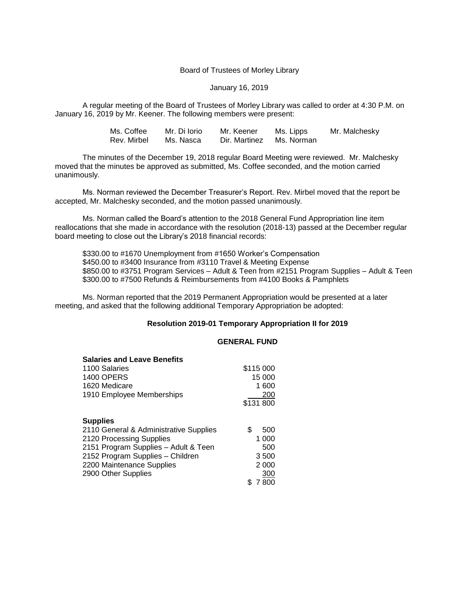#### Board of Trustees of Morley Library

### January 16, 2019

A regular meeting of the Board of Trustees of Morley Library was called to order at 4:30 P.M. on January 16, 2019 by Mr. Keener. The following members were present:

| Ms. Coffee  | Mr. Di Iorio | Mr. Keener               | Ms. Lipps | Mr. Malchesky |
|-------------|--------------|--------------------------|-----------|---------------|
| Rev. Mirbel | Ms. Nasca    | Dir. Martinez Ms. Norman |           |               |

The minutes of the December 19, 2018 regular Board Meeting were reviewed. Mr. Malchesky moved that the minutes be approved as submitted, Ms. Coffee seconded, and the motion carried unanimously.

Ms. Norman reviewed the December Treasurer's Report. Rev. Mirbel moved that the report be accepted, Mr. Malchesky seconded, and the motion passed unanimously.

Ms. Norman called the Board's attention to the 2018 General Fund Appropriation line item reallocations that she made in accordance with the resolution (2018-13) passed at the December regular board meeting to close out the Library's 2018 financial records:

\$330.00 to #1670 Unemployment from #1650 Worker's Compensation \$450.00 to #3400 Insurance from #3110 Travel & Meeting Expense \$850.00 to #3751 Program Services – Adult & Teen from #2151 Program Supplies – Adult & Teen \$300.00 to #7500 Refunds & Reimbursements from #4100 Books & Pamphlets

Ms. Norman reported that the 2019 Permanent Appropriation would be presented at a later meeting, and asked that the following additional Temporary Appropriation be adopted:

## **Resolution 2019-01 Temporary Appropriation II for 2019**

# **GENERAL FUND**

| <b>Salaries and Leave Benefits</b>     |           |
|----------------------------------------|-----------|
| 1100 Salaries                          | \$115 000 |
| <b>1400 OPERS</b>                      | 15 000    |
| 1620 Medicare                          | 1 600     |
| 1910 Employee Memberships              | 200       |
|                                        | \$131 800 |
| <b>Supplies</b>                        |           |
| 2110 General & Administrative Supplies | \$<br>500 |
| 2120 Processing Supplies               | 1 000     |
| 2151 Program Supplies - Adult & Teen   | 500       |
| 2152 Program Supplies - Children       | 3500      |
| 2200 Maintenance Supplies              | 2 0 0 0   |
| 2900 Other Supplies                    | 300       |
|                                        | 7800      |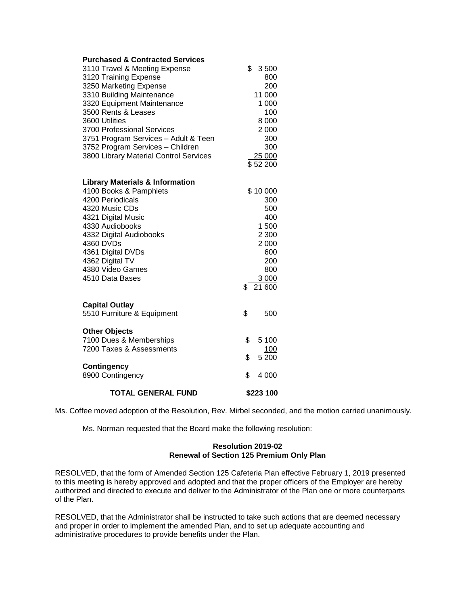| <b>Purchased &amp; Contracted Services</b><br>3110 Travel & Meeting Expense<br>3120 Training Expense<br>3250 Marketing Expense<br>3310 Building Maintenance<br>3320 Equipment Maintenance<br>3500 Rents & Leases<br>3600 Utilities<br>3700 Professional Services<br>3751 Program Services - Adult & Teen<br>3752 Program Services - Children<br>3800 Library Material Control Services | \$<br>3500<br>800<br>200<br>11 000<br>1 000<br>100<br>8 0 0 0<br>2 0 0 0<br>300<br>300<br>25 000<br>\$52 200 |
|----------------------------------------------------------------------------------------------------------------------------------------------------------------------------------------------------------------------------------------------------------------------------------------------------------------------------------------------------------------------------------------|--------------------------------------------------------------------------------------------------------------|
| <b>Library Materials &amp; Information</b>                                                                                                                                                                                                                                                                                                                                             |                                                                                                              |
| 4100 Books & Pamphlets                                                                                                                                                                                                                                                                                                                                                                 | \$10 000                                                                                                     |
| 4200 Periodicals                                                                                                                                                                                                                                                                                                                                                                       | 300                                                                                                          |
| 4320 Music CDs                                                                                                                                                                                                                                                                                                                                                                         | 500                                                                                                          |
| 4321 Digital Music                                                                                                                                                                                                                                                                                                                                                                     | 400                                                                                                          |
| 4330 Audiobooks                                                                                                                                                                                                                                                                                                                                                                        | 1 500                                                                                                        |
| 4332 Digital Audiobooks                                                                                                                                                                                                                                                                                                                                                                | 2 3 0 0                                                                                                      |
| 4360 DVDs                                                                                                                                                                                                                                                                                                                                                                              | 2 000                                                                                                        |
| 4361 Digital DVDs                                                                                                                                                                                                                                                                                                                                                                      | 600                                                                                                          |
| 4362 Digital TV                                                                                                                                                                                                                                                                                                                                                                        | 200                                                                                                          |
| 4380 Video Games<br>4510 Data Bases                                                                                                                                                                                                                                                                                                                                                    | 800                                                                                                          |
|                                                                                                                                                                                                                                                                                                                                                                                        | 3 000<br>21 600<br>\$                                                                                        |
| <b>Capital Outlay</b>                                                                                                                                                                                                                                                                                                                                                                  |                                                                                                              |
| 5510 Furniture & Equipment                                                                                                                                                                                                                                                                                                                                                             | \$<br>500                                                                                                    |
|                                                                                                                                                                                                                                                                                                                                                                                        |                                                                                                              |
| <b>Other Objects</b>                                                                                                                                                                                                                                                                                                                                                                   |                                                                                                              |
| 7100 Dues & Memberships                                                                                                                                                                                                                                                                                                                                                                | \$<br>5 100                                                                                                  |
| 7200 Taxes & Assessments                                                                                                                                                                                                                                                                                                                                                               | <u>100</u>                                                                                                   |
|                                                                                                                                                                                                                                                                                                                                                                                        | $5\,200$<br>\$                                                                                               |
| <b>Contingency</b>                                                                                                                                                                                                                                                                                                                                                                     |                                                                                                              |
| 8900 Contingency                                                                                                                                                                                                                                                                                                                                                                       | \$<br>4 000                                                                                                  |
| <b>TOTAL GENERAL FUND</b>                                                                                                                                                                                                                                                                                                                                                              | \$223 100                                                                                                    |

Ms. Coffee moved adoption of the Resolution, Rev. Mirbel seconded, and the motion carried unanimously.

Ms. Norman requested that the Board make the following resolution:

## **Resolution 2019-02 Renewal of Section 125 Premium Only Plan**

RESOLVED, that the form of Amended Section 125 Cafeteria Plan effective February 1, 2019 presented to this meeting is hereby approved and adopted and that the proper officers of the Employer are hereby authorized and directed to execute and deliver to the Administrator of the Plan one or more counterparts of the Plan.

RESOLVED, that the Administrator shall be instructed to take such actions that are deemed necessary and proper in order to implement the amended Plan, and to set up adequate accounting and administrative procedures to provide benefits under the Plan.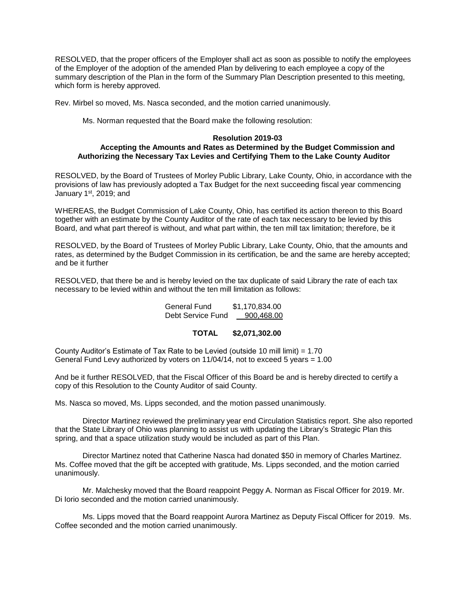RESOLVED, that the proper officers of the Employer shall act as soon as possible to notify the employees of the Employer of the adoption of the amended Plan by delivering to each employee a copy of the summary description of the Plan in the form of the Summary Plan Description presented to this meeting, which form is hereby approved.

Rev. Mirbel so moved, Ms. Nasca seconded, and the motion carried unanimously.

Ms. Norman requested that the Board make the following resolution:

### **Resolution 2019-03**

### **Accepting the Amounts and Rates as Determined by the Budget Commission and Authorizing the Necessary Tax Levies and Certifying Them to the Lake County Auditor**

RESOLVED, by the Board of Trustees of Morley Public Library, Lake County, Ohio, in accordance with the provisions of law has previously adopted a Tax Budget for the next succeeding fiscal year commencing January 1<sup>st</sup>, 2019; and

WHEREAS, the Budget Commission of Lake County, Ohio, has certified its action thereon to this Board together with an estimate by the County Auditor of the rate of each tax necessary to be levied by this Board, and what part thereof is without, and what part within, the ten mill tax limitation; therefore, be it

RESOLVED, by the Board of Trustees of Morley Public Library, Lake County, Ohio, that the amounts and rates, as determined by the Budget Commission in its certification, be and the same are hereby accepted; and be it further

RESOLVED, that there be and is hereby levied on the tax duplicate of said Library the rate of each tax necessary to be levied within and without the ten mill limitation as follows:

> General Fund \$1,170,834.00 Debt Service Fund 900,468.00

#### **TOTAL \$2,071,302.00**

County Auditor's Estimate of Tax Rate to be Levied (outside 10 mill limit) =  $1.70$ General Fund Levy authorized by voters on  $11/04/14$ , not to exceed 5 years = 1.00

And be it further RESOLVED, that the Fiscal Officer of this Board be and is hereby directed to certify a copy of this Resolution to the County Auditor of said County.

Ms. Nasca so moved, Ms. Lipps seconded, and the motion passed unanimously.

Director Martinez reviewed the preliminary year end Circulation Statistics report. She also reported that the State Library of Ohio was planning to assist us with updating the Library's Strategic Plan this spring, and that a space utilization study would be included as part of this Plan.

Director Martinez noted that Catherine Nasca had donated \$50 in memory of Charles Martinez. Ms. Coffee moved that the gift be accepted with gratitude, Ms. Lipps seconded, and the motion carried unanimously.

Mr. Malchesky moved that the Board reappoint Peggy A. Norman as Fiscal Officer for 2019. Mr. Di Iorio seconded and the motion carried unanimously.

Ms. Lipps moved that the Board reappoint Aurora Martinez as Deputy Fiscal Officer for 2019. Ms. Coffee seconded and the motion carried unanimously.